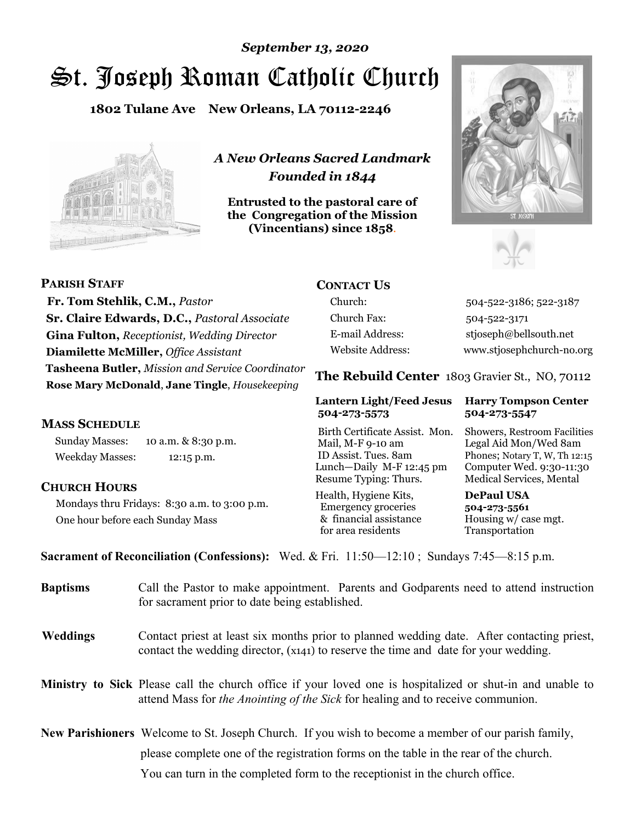# St. Joseph Roman Catholic Church *September 13, 2020*

**1802 Tulane Ave New Orleans, LA 70112-2246**



*A New Orleans Sacred Landmark Founded in 1844* 

**Entrusted to the pastoral care of the Congregation of the Mission (Vincentians) since 1858**.





**PARISH STAFF Fr. Tom Stehlik, C.M.,** *Pastor* **Sr. Claire Edwards, D.C.,** *Pastoral Associate* **Gina Fulton,** *Receptionist, Wedding Director* **Diamilette McMiller,** *Office Assistant* **Tasheena Butler,** *Mission and Service Coordinator* **Rose Mary McDonald**, **Jane Tingle**, *Housekeeping* 

#### **MASS SCHEDULE**

Sunday Masses: 10 a.m. & 8:30 p.m. Weekday Masses: 12:15 p.m.

#### **CHURCH HOURS**

Mondays thru Fridays: 8:30 a.m. to 3:00 p.m. One hour before each Sunday Mass

## **CONTACT US**

Church: 504-522-3186; 522-3187 Church Fax: 504-522-3171 E-mail Address: stjoseph@bellsouth.net Website Address: www.stjosephchurch-no.org

**The Rebuild Center** 1803 Gravier St., NO, 70112

#### **Lantern Light/Feed Jesus Harry Tompson Center 504-273-5573 504-273-5547**

Birth Certificate Assist. Mon. Showers, Restroom Facilities Mail, M-F 9-10 am Legal Aid Mon/Wed 8am ID Assist. Tues. 8am Phones; Notary T, W, Th 12:15 Lunch—Daily M-F 12:45 pm Computer Wed. 9:30-11:30 Resume Typing: Thurs. Medical Services, Mental

Health, Hygiene Kits, **DePaul USA**  Emergency groceries **504-273-5561** & financial assistance Housing w/ case mgt.<br>for area residents Transportation for area residents

**Sacrament of Reconciliation (Confessions):** Wed. & Fri. 11:50—12:10 ; Sundays 7:45—8:15 p.m.

| <b>Baptisms</b> | Call the Pastor to make appointment. Parents and Godparents need to attend instruction<br>for sacrament prior to date being established.                                                            |  |
|-----------------|-----------------------------------------------------------------------------------------------------------------------------------------------------------------------------------------------------|--|
| <b>Weddings</b> | Contact priest at least six months prior to planned wedding date. After contacting priest,<br>contact the wedding director, (x141) to reserve the time and date for your wedding.                   |  |
|                 | <b>Ministry to Sick</b> Please call the church office if your loved one is hospitalized or shut-in and unable to<br>attend Mass for the Anointing of the Sick for healing and to receive communion. |  |
|                 | <b>New Parishioners</b> Welcome to St. Joseph Church. If you wish to become a member of our parish family,                                                                                          |  |
|                 | please complete one of the registration forms on the table in the rear of the church.                                                                                                               |  |
|                 | You can turn in the completed form to the reception is the church office.                                                                                                                           |  |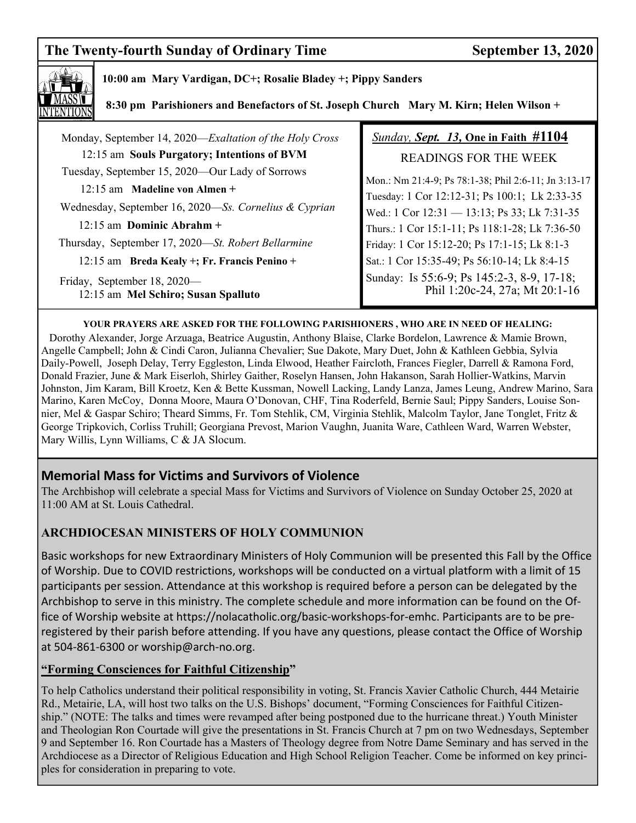# The Twenty-fourth Sunday of Ordinary Time September 13, 2020



#### **10:00 am Mary Vardigan, DC+; Rosalie Bladey +; Pippy Sanders**

 **8:30 pm Parishioners and Benefactors of St. Joseph Church Mary M. Kirn; Helen Wilson +**

| Monday, September 14, 2020—Exaltation of the Holy Cross            | <b>Sunday, Sept. 13, One in Faith #1104</b>                                  |
|--------------------------------------------------------------------|------------------------------------------------------------------------------|
| 12:15 am Souls Purgatory; Intentions of BVM                        | <b>READINGS FOR THE WEEK</b>                                                 |
| Tuesday, September 15, 2020—Our Lady of Sorrows                    | Mon.: Nm 21:4-9; Ps 78:1-38; Phil 2:6-11; Jn 3:13-17                         |
| $12:15$ am Madeline von Almen +                                    | Tuesday: 1 Cor 12:12-31; Ps 100:1; Lk 2:33-35                                |
| Wednesday, September 16, 2020—Ss. Cornelius & Cyprian              | Wed.: 1 Cor 12:31 - 13:13; Ps 33; Lk 7:31-35                                 |
| $12:15$ am Dominic Abrahm +                                        | Thurs.: 1 Cor 15:1-11; Ps 118:1-28; Lk 7:36-50                               |
| Thursday, September 17, 2020—St. Robert Bellarmine                 | Friday: 1 Cor 15:12-20; Ps 17:1-15; Lk 8:1-3                                 |
| 12:15 am Breda Kealy +; Fr. Francis Penino +                       | Sat.: 1 Cor 15:35-49; Ps 56:10-14; Lk 8:4-15                                 |
| Friday, September 18, 2020—<br>12:15 am Mel Schiro; Susan Spalluto | Sunday: Is 55:6-9; Ps 145:2-3, 8-9, 17-18;<br>Phil 1:20c-24, 27a; Mt 20:1-16 |

#### **YOUR PRAYERS ARE ASKED FOR THE FOLLOWING PARISHIONERS , WHO ARE IN NEED OF HEALING:**

 Dorothy Alexander, Jorge Arzuaga, Beatrice Augustin, Anthony Blaise, Clarke Bordelon, Lawrence & Mamie Brown, Angelle Campbell; John & Cindi Caron, Julianna Chevalier; Sue Dakote, Mary Duet, John & Kathleen Gebbia, Sylvia Daily-Powell, Joseph Delay, Terry Eggleston, Linda Elwood, Heather Faircloth, Frances Fiegler, Darrell & Ramona Ford, Donald Frazier, June & Mark Eiserloh, Shirley Gaither, Roselyn Hansen, John Hakanson, Sarah Hollier-Watkins, Marvin Johnston, Jim Karam, Bill Kroetz, Ken & Bette Kussman, Nowell Lacking, Landy Lanza, James Leung, Andrew Marino, Sara Marino, Karen McCoy, Donna Moore, Maura O'Donovan, CHF, Tina Roderfeld, Bernie Saul; Pippy Sanders, Louise Sonnier, Mel & Gaspar Schiro; Theard Simms, Fr. Tom Stehlik, CM, Virginia Stehlik, Malcolm Taylor, Jane Tonglet, Fritz & George Tripkovich, Corliss Truhill; Georgiana Prevost, Marion Vaughn, Juanita Ware, Cathleen Ward, Warren Webster, Mary Willis, Lynn Williams, C & JA Slocum.

### **Memorial Mass for Victims and Survivors of Violence**

The Archbishop will celebrate a special Mass for Victims and Survivors of Violence on Sunday October 25, 2020 at 11:00 AM at St. Louis Cathedral.

#### **ARCHDIOCESAN MINISTERS OF HOLY COMMUNION**

Basic workshops for new Extraordinary Ministers of Holy Communion will be presented this Fall by the Office of Worship. Due to COVID restrictions, workshops will be conducted on a virtual platform with a limit of 15 participants per session. Attendance at this workshop is required before a person can be delegated by the Archbishop to serve in this ministry. The complete schedule and more information can be found on the Office of Worship website at https://nolacatholic.org/basic-workshops-for-emhc. Participants are to be preregistered by their parish before attending. If you have any questions, please contact the Office of Worship at 504-861-6300 or worship@arch-no.org.

#### **"Forming Consciences for Faithful Citizenship"**

To help Catholics understand their political responsibility in voting, St. Francis Xavier Catholic Church, 444 Metairie Rd., Metairie, LA, will host two talks on the U.S. Bishops' document, "Forming Consciences for Faithful Citizenship." (NOTE: The talks and times were revamped after being postponed due to the hurricane threat.) Youth Minister and Theologian Ron Courtade will give the presentations in St. Francis Church at 7 pm on two Wednesdays, September 9 and September 16. Ron Courtade has a Masters of Theology degree from Notre Dame Seminary and has served in the Archdiocese as a Director of Religious Education and High School Religion Teacher. Come be informed on key principles for consideration in preparing to vote.